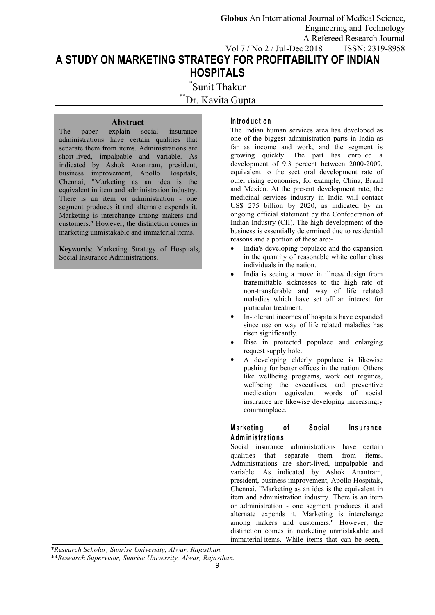**Globus** An International Journal of Medical Science, Engineering and Technology A Refereed Research Journal Vol 7 / No 2 / Jul-Dec 2018 ISSN: 2319-8958

# **A STUDY ON MARKETING STRATEGY FOR PROFITABILITY OF INDIAN HOSPITALS**

\*Sunit Thakur Dr. Kavita Gupta

**Abstract**<br>explain social insurance The paper explain social administrations have certain qualities that separate them from items. Administrations are short-lived, impalpable and variable. As indicated by Ashok Anantram, president, business improvement, Apollo Hospitals, Chennai, "Marketing as an idea is the equivalent in item and administration industry. There is an item or administration - one segment produces it and alternate expends it. Marketing is interchange among makers and customers." However, the distinction comes in marketing unmistakable and immaterial items.

**Keywords**: Marketing Strategy of Hospitals, Social Insurance Administrations.

#### **In tro d u c tio n**

The Indian human services area has developed as one of the biggest administration parts in India as far as income and work, and the segment is growing quickly. The part has enrolled a development of 9.3 percent between 2000-2009, equivalent to the sect oral development rate of other rising economies, for example, China, Brazil and Mexico. At the present development rate, the medicinal services industry in India will contact US\$ 275 billion by 2020, as indicated by an ongoing official statement by the Confederation of Indian Industry (CII). The high development of the business is essentially determined due to residential reasons and a portion of these are:-

- India's developing populace and the expansion in the quantity of reasonable white collar class individuals in the nation.
- India is seeing a move in illness design from transmittable sicknesses to the high rate of non-transferable and way of life related maladies which have set off an interest for particular treatment.
- In-tolerant incomes of hospitals have expanded since use on way of life related maladies has risen significantly.
- Rise in protected populace and enlarging request supply hole.
- A developing elderly populace is likewise pushing for better offices in the nation. Others like wellbeing programs, work out regimes, wellbeing the executives, and preventive medication equivalent words of social insurance are likewise developing increasingly commonplace.

## **Marketing** of Social Insurance **A dm in is tra tio n s**

Social insurance administrations have certain qualities that separate them from items. Administrations are short-lived, impalpable and variable. As indicated by Ashok Anantram, president, business improvement, Apollo Hospitals, Chennai, "Marketing as an idea is the equivalent in item and administration industry. There is an item or administration - one segment produces it and alternate expends it. Marketing is interchange among makers and customers." However, the distinction comes in marketing unmistakable and immaterial items. While items that can be seen,

*\*Research Scholar, Sunrise University, Alwar, Rajasthan.*

*\*\*Research Supervisor, Sunrise University, Alwar, Rajasthan.*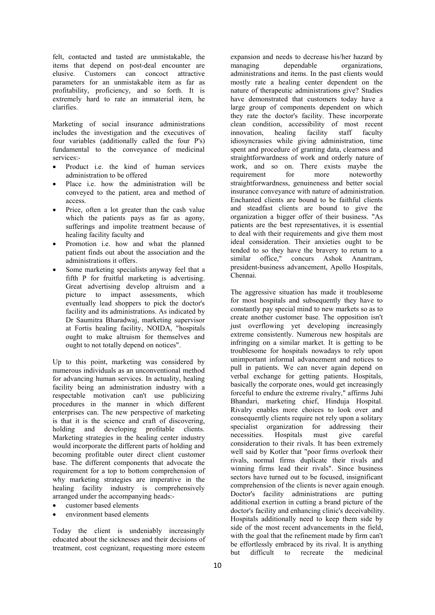felt, contacted and tasted are unmistakable, the items that depend on post-deal encounter are elusive. Customers can concoct attractive parameters for an unmistakable item as far as profitability, proficiency, and so forth. It is extremely hard to rate an immaterial item, he clarifies.

Marketing of social insurance administrations includes the investigation and the executives of four variables (additionally called the four P's) fundamental to the conveyance of medicinal services:-

- Product i.e. the kind of human services administration to be offered
- Place i.e. how the administration will be conveyed to the patient, area and method of access.
- Price, often a lot greater than the cash value which the patients pays as far as agony, sufferings and impolite treatment because of healing facility faculty and
- Promotion i.e. how and what the planned patient finds out about the association and the administrations it offers.
- Some marketing specialists anyway feel that a fifth P for fruitful marketing is advertising. Great advertising develop altruism and a picture to impact assessments, which eventually lead shoppers to pick the doctor's facility and its administrations. As indicated by Dr Saumitra Bharadwaj, marketing supervisor at Fortis healing facility, NOIDA, "hospitals ought to make altruism for themselves and ought to not totally depend on notices".

Up to this point, marketing was considered by numerous individuals as an unconventional method for advancing human services. In actuality, healing facility being an administration industry with a respectable motivation can't use publicizing procedures in the manner in which different enterprises can. The new perspective of marketing is that it is the science and craft of discovering, holding and developing profitable clients. Marketing strategies in the healing center industry necessities. Hospitals would incorporate the different parts of holding and becoming profitable outer direct client customer base. The different components that advocate the requirement for a top to bottom comprehension of why marketing strategies are imperative in the healing facility industry is comprehensively arranged under the accompanying heads:-

- customer based elements
- environment based elements

Today the client is undeniably increasingly educated about the sicknesses and their decisions of treatment, cost cognizant, requesting more esteem<br>but difficult to

expansion and needs to decrease his/her hazard by dependable organizations, administrations and items. In the past clients would mostly rate a healing center dependent on the nature of therapeutic administrations give? Studies have demonstrated that customers today have a large group of components dependent on which they rate the doctor's facility. These incorporate clean condition, accessibility of most recent<br>innovation, healing facility staff faculty innovation, healing facility staff faculty idiosyncrasies while giving administration, time spent and procedure of granting data, clearness and straightforwardness of work and orderly nature of work, and so on. There exists maybe the requirement for more noteworthy straightforwardness, genuineness and better social insurance conveyance with nature of administration. Enchanted clients are bound to be faithful clients and steadfast clients are bound to give the organization a bigger offer of their business. "As patients are the best representatives, it is essential to deal with their requirements and give them most ideal consideration. Their anxieties ought to be tended to so they have the bravery to return to a similar office," concurs Ashok Anantram, president-business advancement, Apollo Hospitals, Chennai.

The aggressive situation has made it troublesome for most hospitals and subsequently they have to constantly pay special mind to new markets so as to create another customer base. The opposition isn't just overflowing yet developing increasingly extreme consistently. Numerous new hospitals are infringing on a similar market. It is getting to be troublesome for hospitals nowadays to rely upon unimportant informal advancement and notices to pull in patients. We can never again depend on verbal exchange for getting patients. Hospitals, basically the corporate ones, would get increasingly forceful to endure the extreme rivalry," affirms Juhi Bhandari, marketing chief, Hinduja Hospital. Rivalry enables more choices to look over and consequently clients require not rely upon a solitary specialist organization for addressing their necessities. Hospitals must give careful consideration to their rivals. It has been extremely well said by Kotler that "poor firms overlook their rivals, normal firms duplicate their rivals and winning firms lead their rivals". Since business sectors have turned out to be focused, insignificant comprehension of the clients is never again enough. Doctor's facility administrations are putting additional exertion in cutting a brand picture of the doctor's facility and enhancing clinic's deceivability. Hospitals additionally need to keep them side by side of the most recent advancements in the field, with the goal that the refinement made by firm can't be effortlessly embraced by its rival. It is anything recreate the medicinal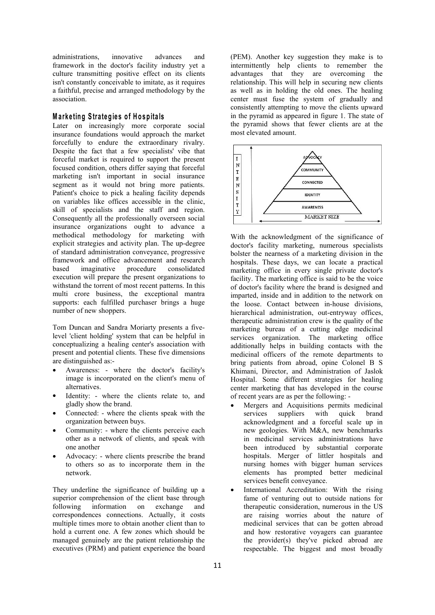administrations, innovative advances and (PEM). Another key suggestion they make is to framework in the doctor's facility industry yet a culture transmitting positive effect on its clients isn't constantly conceivable to imitate, as it requires a faithful, precise and arranged methodology by the association.

#### **M a rk e tin g S tra teg ie s o f H o sp ita ls**

Later on increasingly more corporate social insurance foundations would approach the market forcefully to endure the extraordinary rivalry. Despite the fact that a few specialists' vibe that  $\begin{bmatrix} \n\text{forcell market is required to support the present} \\
\text{if} \n\end{bmatrix}$ forceful market is required to support the present  $\begin{bmatrix} I \\ N \end{bmatrix}$ focused condition, others differ saying that forceful  $\begin{bmatrix} N \\ T \end{bmatrix}$ marketing isn't important in social insurance  $\frac{1}{E}$ segment as it would not bring more patients.<br>Patient's choice to pick a healing facility depends Patient's choice to pick a healing facility depends<br>on variables like offices accessible in the clinic. on variables like offices accessible in the clinic,<br>skill of specialists and the staff and region. Consequently all the professionally overseen social insurance organizations ought to advance a methodical methodology for marketing with explicit strategies and activity plan. The up-degree of standard administration conveyance, progressive framework and office advancement and research execution will prepare the present organizations to withstand the torrent of most recent patterns. In this multi crore business, the exceptional mantra supports: each fulfilled purchaser brings a huge number of new shoppers.

Tom Duncan and Sandra Moriarty presents a fivelevel 'client holding' system that can be helpful in conceptualizing a healing center's association with present and potential clients. These five dimensions are distinguished as:-

- Awareness: where the doctor's facility's image is incorporated on the client's menu of alternatives.
- Identity: where the clients relate to, and gladly show the brand.
- Connected: where the clients speak with the organization between buys.
- Community: where the clients perceive each other as a network of clients, and speak with one another
- Advocacy: where clients prescribe the brand to others so as to incorporate them in the network.

They underline the significance of building up a superior comprehension of the client base through following information on exchange and correspondences connections. Actually, it costs multiple times more to obtain another client than to hold a current one. A few zones which should be managed genuinely are the patient relationship the executives (PRM) and patient experience the board intermittently help clients to remember the advantages that they are overcoming the relationship. This will help in securing new clients as well as in holding the old ones. The healing center must fuse the system of gradually and consistently attempting to move the clients upward in the pyramid as appeared in figure 1.The state of the pyramid shows that fewer clients are at the most elevated amount.



based imaginative procedure consolidated marketing office in every single private doctor's With the acknowledgment of the significance of doctor's facility marketing, numerous specialists bolster the nearness of a marketing division in the hospitals. These days, we can locate a practical facility. The marketing office is said to be the voice of doctor's facility where the brand is designed and imparted, inside and in addition to the network on the loose. Contact between in-house divisions, hierarchical administration, out-entryway offices, therapeutic administration crew is the quality of the marketing bureau of a cutting edge medicinal services organization. The marketing office additionally helps in building contacts with the medicinal officers of the remote departments to bring patients from abroad, opine Colonel B S Khimani, Director, and Administration of Jaslok Hospital. Some different strategies for healing center marketing that has developed in the course of recent years are as per the following: -

- Mergers and Acquisitions permits medicinal suppliers with quick brand acknowledgment and a forceful scale up in new geologies. With M&A, new benchmarks in medicinal services administrations have been introduced by substantial corporate hospitals. Merger of littler hospitals and nursing homes with bigger human services elements has prompted better medicinal services benefit conveyance.
- International Accreditation: With the rising fame of venturing out to outside nations for therapeutic consideration, numerous in the US are raising worries about the nature of medicinal services that can be gotten abroad and how restorative voyagers can guarantee the provider(s) they've picked abroad are respectable. The biggest and most broadly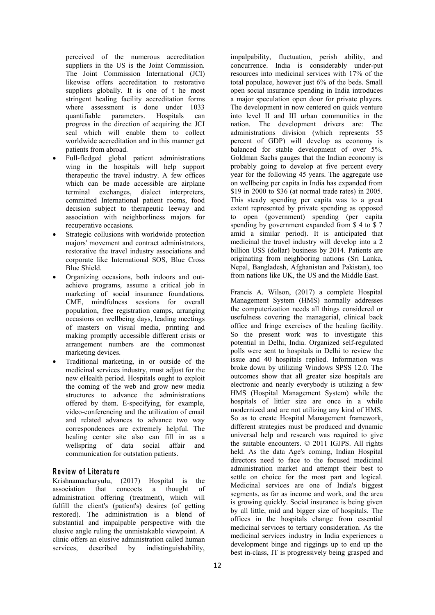perceived of the numerous accreditation suppliers in the US is the Joint Commission. The Joint Commission International (JCI) likewise offers accreditation to restorative suppliers globally. It is one of t he most stringent healing facility accreditation forms where assessment is done under 1033<br>quantifiable parameters. Hospitals can progress in the direction of acquiring the JCI seal which will enable them to collect worldwide accreditation and in this manner get patients from abroad.

- Full-fledged global patient administrations wing in the hospitals will help support therapeutic the travel industry. A few offices which can be made accessible are airplane terminal exchanges, dialect interpreters, committed International patient rooms, food decision subject to therapeutic leeway and association with neighborliness majors for recuperative occasions.
- Strategic collusions with worldwide protection majors' movement and contract administrators, restorative the travel industry associations and corporate like International SOS, Blue Cross Blue Shield.
- Organizing occasions, both indoors and outachieve programs, assume a critical job in marketing of social insurance foundations. CME, mindfulness sessions for overall population, free registration camps, arranging occasions on wellbeing days, leading meetings of masters on visual media, printing and making promptly accessible different crisis or arrangement numbers are the commonest marketing devices.
- Traditional marketing, in or outside of the medicinal services industry, must adjust for the new eHealth period. Hospitals ought to exploit the coming of the web and grow new media structures to advance the administrations offered by them. E-specifying, for example, video-conferencing and the utilization of email and related advances to advance two way correspondences are extremely helpful. The healing center site also can fill in as a wellspring of data social affair and communication for outstation patients.

#### **R e v iew o f L ite ra tu re**

Krishnamacharyulu, (2017) Hospital is the association that concocts a thought of administration offering (treatment), which will fulfill the client's (patient's) desires (of getting restored). The administration is a blend of substantial and impalpable perspective with the elusive angle ruling the unmistakable viewpoint. A clinic offers an elusive administration called human services, described by indistinguishability,

quantifiable parameters. Hospitals can into level II and III urban communities in the impalpability, fluctuation, perish ability, and concurrence. India is considerably under-put resources into medicinal services with 17% of the total populace, however just 6% of the beds. Small open social insurance spending in India introduces a major speculation open door for private players. The development in now centered on quick venture nation. The development drivers are: The administrations division (which represents 55 percent of GDP) will develop as economy is balanced for stable development of over 5%. Goldman Sachs gauges that the Indian economy is probably going to develop at five percent every year for the following 45 years. The aggregate use on wellbeing per capita in India has expanded from \$19 in 2000 to \$36 (at normal trade rates) in 2005. This steady spending per capita was to a great extent represented by private spending as opposed to open (government) spending (per capita spending by government expanded from \$ 4 to \$ 7 amid a similar period). It is anticipated that medicinal the travel industry will develop into a 2 billion US\$ (dollar) business by 2014. Patients are originating from neighboring nations (Sri Lanka, Nepal, Bangladesh, Afghanistan and Pakistan), too from nations like UK, the US and the Middle East.

> Francis A. Wilson, (2017) a complete Hospital Management System (HMS) normally addresses the computerization needs all things considered or usefulness covering the managerial, clinical back office and fringe exercises of the healing facility. So the present work was to investigate this potential in Delhi, India. Organized self-regulated polls were sent to hospitals in Delhi to review the issue and 40 hospitals replied. Information was broke down by utilizing Windows SPSS 12.0. The outcomes show that all greater size hospitals are electronic and nearly everybody is utilizing a few HMS (Hospital Management System) while the hospitals of littler size are once in a while modernized and are not utilizing any kind of HMS. So as to create Hospital Management framework, different strategies must be produced and dynamic universal help and research was required to give the suitable encounters. © 2011 IGJPS. All rights held. As the data Age's coming, Indian Hospital directors need to face to the focused medicinal administration market and attempt their best to settle on choice for the most part and logical. Medicinal services are one of India's biggest segments, as far as income and work, and the area is growing quickly. Social insurance is being given by all little, mid and bigger size of hospitals. The offices in the hospitals change from essential medicinal services to tertiary consideration. As the medicinal services industry in India experiences a development binge and riggings up to end up the best in-class, IT is progressively being grasped and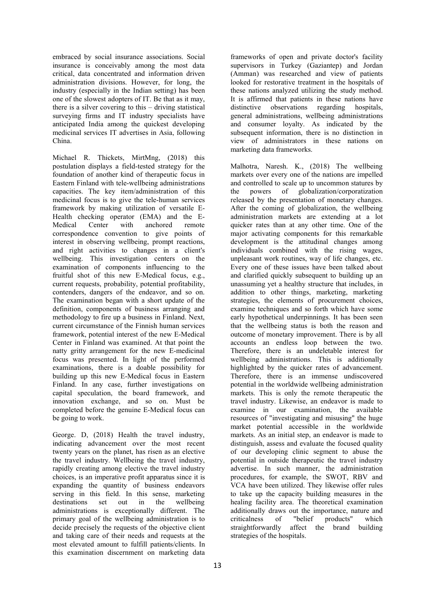embraced by social insurance associations. Social insurance is conceivably among the most data critical, data concentrated and information driven administration divisions. However, for long, the industry (especially in the Indian setting) has been one of the slowest adopters of IT. Be that as it may,  $\frac{1}{1}$  It is affirm there is a silver covering to this – driving statistical distinctive there is a silver covering to this  $-$  driving statistical surveying firms and IT industry specialists have anticipated India among the quickest developing medicinal services IT advertises in Asia, following China.

Michael R. Thickets, MirtMng, (2018) this postulation displays a field-tested strategy for the foundation of another kind of therapeutic focus in Eastern Finland with tele-wellbeing administrations capacities. The key item/administration of this medicinal focus is to give the tele-human services framework by making utilization of versatile E- Health checking operator (EMA) and the E correspondence convention to give points of interest in observing wellbeing, prompt reactions, and right activities to changes in a client's wellbeing. This investigation centers on the examination of components influencing to the fruitful shot of this new E-Medical focus, e.g., current requests, probability, potential profitability, contenders, dangers of the endeavor, and so on. The examination began with a short update of the definition, components of business arranging and methodology to fire up a business in Finland. Next, current circumstance of the Finnish human services framework, potential interest of the new E-Medical Center in Finland was examined. At that point the accounts an endless loop between the two. natty gritty arrangement for the new E-medicinal focus was presented. In light of the performed examinations, there is a doable possibility for building up this new E-Medical focus in Eastern Finland. In any case, further investigations on capital speculation, the board framework, and innovation exchange, and so on. Must be completed before the genuine E-Medical focus can be going to work.

George. D, (2018) Health the travel industry, indicating advancement over the most recent twenty years on the planet, has risen as an elective the travel industry. Wellbeing the travel industry, rapidly creating among elective the travel industry choices, is an imperative profit apparatus since it is expanding the quantity of business endeavors serving in this field. In this sense, marketing administrations is exceptionally different. The primary goal of the wellbeing administration is to criticalness of decide precisely the requests of the objective client and taking care of their needs and requests at the most elevated amount to fulfill patients/clients. In this examination discernment on marketing data

frameworks of open and private doctor's facility supervisors in Turkey (Gaziantep) and Jordan (Amman) was researched and view of patients looked for restorative treatment in the hospitals of these nations analyzed utilizing the study method. It is affirmed that patients in these nations have observations regarding hospitals, general administrations, wellbeing administrations and consumer loyalty. As indicated by the subsequent information, there is no distinction in view of administrators in these nations on marketing data frameworks.

Medical Center with anchored remote quicker rates than at any other time. One of the destinations set out in the wellbeing healing facility area. The theoretical examination Malhotra, Naresh. K., (2018) The wellbeing markets over every one of the nations are impelled and controlled to scale up to uncommon statures by powers of globalization/corporatization released by the presentation of monetary changes. After the coming of globalization, the wellbeing administration markets are extending at a lot major activating components for this remarkable development is the attitudinal changes among individuals combined with the rising wages, unpleasant work routines, way of life changes, etc. Every one of these issues have been talked about and clarified quickly subsequent to building up an unassuming yet a healthy structure that includes, in addition to other things, marketing, marketing strategies, the elements of procurement choices, examine techniques and so forth which have some early hypothetical underpinnings. It has been seen that the wellbeing status is both the reason and outcome of monetary improvement. There is by all Therefore, there is an undeletable interest for wellbeing administrations. This is additionally highlighted by the quicker rates of advancement. Therefore, there is an immense undiscovered potential in the worldwide wellbeing administration markets. This is only the remote therapeutic the travel industry. Likewise, an endeavor is made to examine in our examination, the available resources of "investigating and misusing" the huge market potential accessible in the worldwide markets. As an initial step, an endeavor is made to distinguish, assess and evaluate the focused quality of our developing clinic segment to abuse the potential in outside therapeutic the travel industry advertise. In such manner, the administration procedures, for example, the SWOT, RBV and VCA have been utilized. They likewise offer rules to take up the capacity building measures in the additionally draws out the importance, nature and "belief products" which straightforwardly affect the brand building strategies of the hospitals.